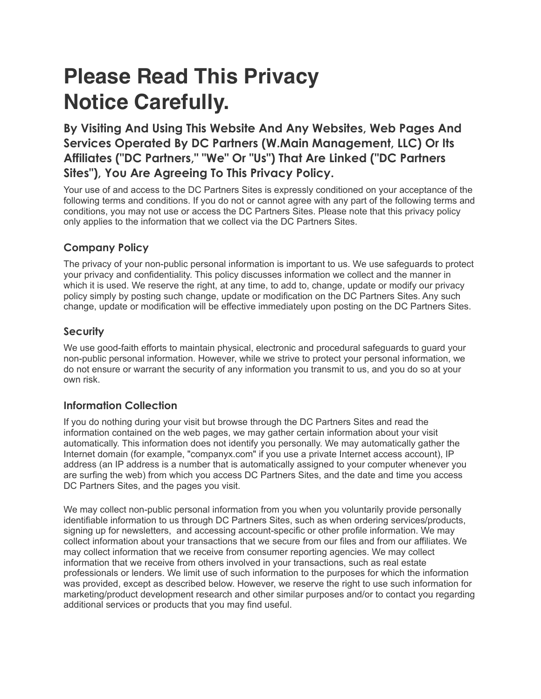# **Please Read This Privacy Notice Carefully.**

**By Visiting And Using This Website And Any Websites, Web Pages And Services Operated By DC Partners (W.Main Management, LLC) Or Its Affiliates ("DC Partners," "We" Or "Us") That Are Linked ("DC Partners Sites"), You Are Agreeing To This Privacy Policy.** 

Your use of and access to the DC Partners Sites is expressly conditioned on your acceptance of the following terms and conditions. If you do not or cannot agree with any part of the following terms and conditions, you may not use or access the DC Partners Sites. Please note that this privacy policy only applies to the information that we collect via the DC Partners Sites.

## **Company Policy**

The privacy of your non-public personal information is important to us. We use safeguards to protect your privacy and confidentiality. This policy discusses information we collect and the manner in which it is used. We reserve the right, at any time, to add to, change, update or modify our privacy policy simply by posting such change, update or modification on the DC Partners Sites. Any such change, update or modification will be effective immediately upon posting on the DC Partners Sites.

## **Security**

We use good-faith efforts to maintain physical, electronic and procedural safeguards to guard your non-public personal information. However, while we strive to protect your personal information, we do not ensure or warrant the security of any information you transmit to us, and you do so at your own risk.

## **Information Collection**

If you do nothing during your visit but browse through the DC Partners Sites and read the information contained on the web pages, we may gather certain information about your visit automatically. This information does not identify you personally. We may automatically gather the Internet domain (for example, "companyx.com" if you use a private Internet access account), IP address (an IP address is a number that is automatically assigned to your computer whenever you are surfing the web) from which you access DC Partners Sites, and the date and time you access DC Partners Sites, and the pages you visit.

We may collect non-public personal information from you when you voluntarily provide personally identifiable information to us through DC Partners Sites, such as when ordering services/products, signing up for newsletters, and accessing account-specific or other profile information. We may collect information about your transactions that we secure from our files and from our affiliates. We may collect information that we receive from consumer reporting agencies. We may collect information that we receive from others involved in your transactions, such as real estate professionals or lenders. We limit use of such information to the purposes for which the information was provided, except as described below. However, we reserve the right to use such information for marketing/product development research and other similar purposes and/or to contact you regarding additional services or products that you may find useful.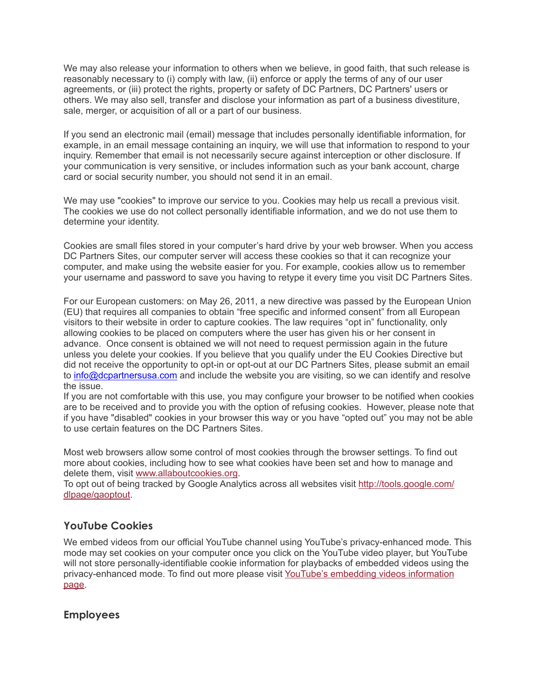We may also release your information to others when we believe, in good faith, that such release is reasonably necessary to (i) comply with law, (ii) enforce or apply the terms of any of our user agreements, or (iii) protect the rights, property or safety of DC Partners, DC Partners' users or others. We may also sell, transfer and disclose your information as part of a business divestiture, sale, merger, or acquisition of all or a part of our business.

If you send an electronic mail (email) message that includes personally identifiable information, for example, in an email message containing an inquiry, we will use that information to respond to your inquiry. Remember that email is not necessarily secure against interception or other disclosure. If your communication is very sensitive, or includes information such as your bank account, charge card or social security number, you should not send it in an email.

We may use "cookies" to improve our service to you. Cookies may help us recall a previous visit. The cookies we use do not collect personally identifiable information, and we do not use them to determine your identity.

Cookies are small files stored in your computer's hard drive by your web browser. When you access DC Partners Sites, our computer server will access these cookies so that it can recognize your computer, and make using the website easier for you. For example, cookies allow us to remember your username and password to save you having to retype it every time you visit DC Partners Sites.

For our European customers: on May 26, 2011, a new directive was passed by the European Union (EU) that requires all companies to obtain "free specific and informed consent" from all European visitors to their website in order to capture cookies. The law requires "opt in" functionality, only allowing cookies to be placed on computers where the user has given his or her consent in advance. Once consent is obtained we will not need to request permission again in the future unless you delete your cookies. If you believe that you qualify under the EU Cookies Directive but did not receive the opportunity to opt-in or opt-out at our DC Partners Sites, please submit an email to [info@dcpartnersusa.com](mailto:info@dcpartnersusa.com) and include the website you are visiting, so we can identify and resolve the issue.

If you are not comfortable with this use, you may configure your browser to be notified when cookies are to be received and to provide you with the option of refusing cookies. However, please note that if you have "disabled" cookies in your browser this way or you have "opted out" you may not be able to use certain features on the DC Partners Sites.

Most web browsers allow some control of most cookies through the browser settings. To find out more about cookies, including how to see what cookies have been set and how to manage and delete them, visit [www.allaboutcookies.org](http://www.allaboutcookies.org/).

To opt out of being tracked by Google Analytics across all websites visit [http://tools.google.com/](http://tools.google.com/dlpage/gaoptout) [dlpage/gaoptout](http://tools.google.com/dlpage/gaoptout).

## **YouTube Cookies**

We embed videos from our official YouTube channel using YouTube's privacy-enhanced mode. This mode may set cookies on your computer once you click on the YouTube video player, but YouTube will not store personally-identifiable cookie information for playbacks of embedded videos using the privacy-enhanced mode. To find out more please visit [YouTube's embedding videos information](http://www.google.com/support/youtube/bin/answer.py?hl=en-GB&answer=171780)  [page](http://www.google.com/support/youtube/bin/answer.py?hl=en-GB&answer=171780).

**Employees**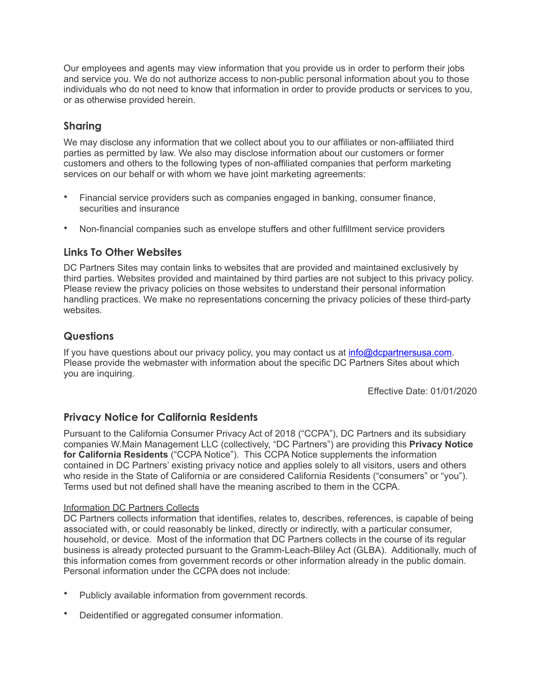Our employees and agents may view information that you provide us in order to perform their jobs and service you. We do not authorize access to non-public personal information about you to those individuals who do not need to know that information in order to provide products or services to you, or as otherwise provided herein.

## **Sharing**

We may disclose any information that we collect about you to our affiliates or non-affiliated third parties as permitted by law. We also may disclose information about our customers or former customers and others to the following types of non-affiliated companies that perform marketing services on our behalf or with whom we have joint marketing agreements:

- Financial service providers such as companies engaged in banking, consumer finance, securities and insurance
- Non-financial companies such as envelope stuffers and other fulfillment service providers

## **Links To Other Websites**

DC Partners Sites may contain links to websites that are provided and maintained exclusively by third parties. Websites provided and maintained by third parties are not subject to this privacy policy. Please review the privacy policies on those websites to understand their personal information handling practices. We make no representations concerning the privacy policies of these third-party websites.

## **Questions**

If you have questions about our privacy policy, you may contact us at [info@dcpartnersusa.com](mailto:info@dcpartnersusa.com). Please provide the webmaster with information about the specific DC Partners Sites about which you are inquiring.

Effective Date: 01/01/2020

## **Privacy Notice for California Residents**

Pursuant to the California Consumer Privacy Act of 2018 ("CCPA"), DC Partners and its subsidiary companies W.Main Management LLC (collectively, "DC Partners") are providing this **Privacy Notice for California Residents** ("CCPA Notice"). This CCPA Notice supplements the information contained in DC Partners' existing privacy notice and applies solely to all visitors, users and others who reside in the State of California or are considered California Residents ("consumers" or "you"). Terms used but not defined shall have the meaning ascribed to them in the CCPA.

#### Information DC Partners Collects

DC Partners collects information that identifies, relates to, describes, references, is capable of being associated with, or could reasonably be linked, directly or indirectly, with a particular consumer, household, or device. Most of the information that DC Partners collects in the course of its regular business is already protected pursuant to the Gramm-Leach-Bliley Act (GLBA). Additionally, much of this information comes from government records or other information already in the public domain. Personal information under the CCPA does not include:

- Publicly available information from government records.
- Deidentified or aggregated consumer information.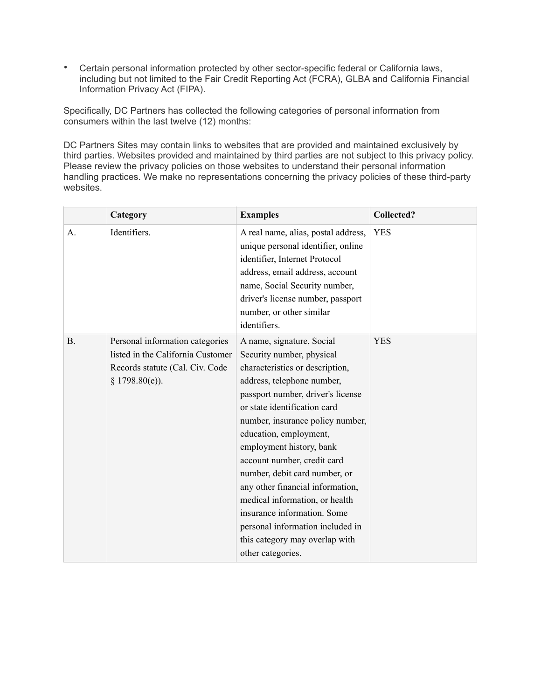• Certain personal information protected by other sector-specific federal or California laws, including but not limited to the Fair Credit Reporting Act (FCRA), GLBA and California Financial Information Privacy Act (FIPA).

Specifically, DC Partners has collected the following categories of personal information from consumers within the last twelve (12) months:

DC Partners Sites may contain links to websites that are provided and maintained exclusively by third parties. Websites provided and maintained by third parties are not subject to this privacy policy. Please review the privacy policies on those websites to understand their personal information handling practices. We make no representations concerning the privacy policies of these third-party websites.

|    | Category                                                                                                                  | <b>Examples</b>                                                                                                                                                                                                                                                                                                                                                                                                                                                                                                                                        | <b>Collected?</b> |
|----|---------------------------------------------------------------------------------------------------------------------------|--------------------------------------------------------------------------------------------------------------------------------------------------------------------------------------------------------------------------------------------------------------------------------------------------------------------------------------------------------------------------------------------------------------------------------------------------------------------------------------------------------------------------------------------------------|-------------------|
| A. | Identifiers.                                                                                                              | A real name, alias, postal address,<br>unique personal identifier, online<br>identifier, Internet Protocol<br>address, email address, account<br>name, Social Security number,<br>driver's license number, passport<br>number, or other similar<br>identifiers.                                                                                                                                                                                                                                                                                        | <b>YES</b>        |
| B. | Personal information categories<br>listed in the California Customer<br>Records statute (Cal. Civ. Code<br>§ 1798.80(e)). | A name, signature, Social<br>Security number, physical<br>characteristics or description,<br>address, telephone number,<br>passport number, driver's license<br>or state identification card<br>number, insurance policy number,<br>education, employment,<br>employment history, bank<br>account number, credit card<br>number, debit card number, or<br>any other financial information,<br>medical information, or health<br>insurance information. Some<br>personal information included in<br>this category may overlap with<br>other categories. | <b>YES</b>        |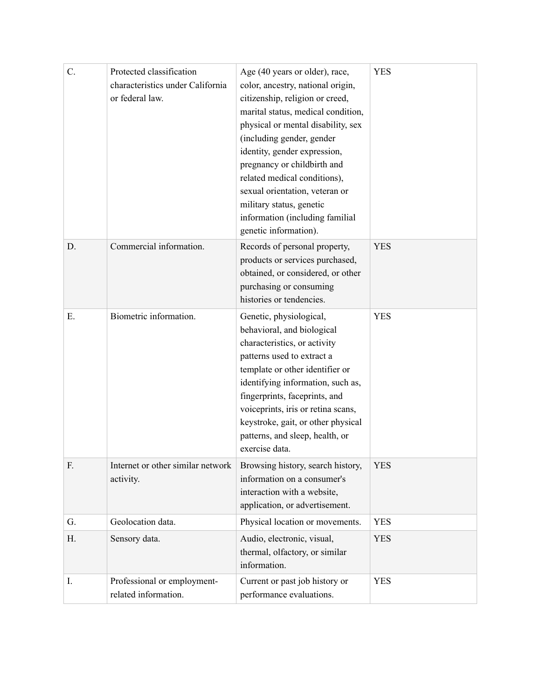| C. | Protected classification<br>characteristics under California<br>or federal law. | Age (40 years or older), race,<br>color, ancestry, national origin,<br>citizenship, religion or creed,<br>marital status, medical condition,<br>physical or mental disability, sex<br>(including gender, gender<br>identity, gender expression,<br>pregnancy or childbirth and<br>related medical conditions),<br>sexual orientation, veteran or<br>military status, genetic<br>information (including familial<br>genetic information). | <b>YES</b> |
|----|---------------------------------------------------------------------------------|------------------------------------------------------------------------------------------------------------------------------------------------------------------------------------------------------------------------------------------------------------------------------------------------------------------------------------------------------------------------------------------------------------------------------------------|------------|
| D. | Commercial information.                                                         | Records of personal property,<br>products or services purchased,<br>obtained, or considered, or other<br>purchasing or consuming<br>histories or tendencies.                                                                                                                                                                                                                                                                             | <b>YES</b> |
| Ε. | Biometric information.                                                          | Genetic, physiological,<br>behavioral, and biological<br>characteristics, or activity<br>patterns used to extract a<br>template or other identifier or<br>identifying information, such as,<br>fingerprints, faceprints, and<br>voiceprints, iris or retina scans,<br>keystroke, gait, or other physical<br>patterns, and sleep, health, or<br>exercise data.                                                                            | <b>YES</b> |
| F. | Internet or other similar network<br>activity.                                  | Browsing history, search history,<br>information on a consumer's<br>interaction with a website,<br>application, or advertisement.                                                                                                                                                                                                                                                                                                        | <b>YES</b> |
| G. | Geolocation data.                                                               | Physical location or movements.                                                                                                                                                                                                                                                                                                                                                                                                          | <b>YES</b> |
| Н. | Sensory data.                                                                   | Audio, electronic, visual,<br>thermal, olfactory, or similar<br>information.                                                                                                                                                                                                                                                                                                                                                             | <b>YES</b> |
| I. | Professional or employment-<br>related information.                             | Current or past job history or<br>performance evaluations.                                                                                                                                                                                                                                                                                                                                                                               | <b>YES</b> |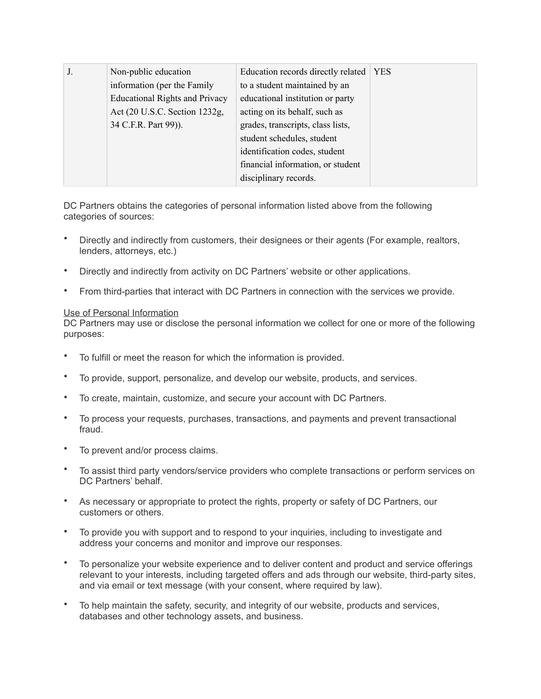| J. | Non-public education                  | Education records directly related   YES |  |
|----|---------------------------------------|------------------------------------------|--|
|    | information (per the Family           | to a student maintained by an            |  |
|    | <b>Educational Rights and Privacy</b> | educational institution or party         |  |
|    | Act (20 U.S.C. Section 1232g,         | acting on its behalf, such as            |  |
|    | 34 C.F.R. Part 99)).                  | grades, transcripts, class lists,        |  |
|    |                                       | student schedules, student               |  |
|    |                                       | identification codes, student            |  |
|    |                                       | financial information, or student        |  |
|    |                                       | disciplinary records.                    |  |

DC Partners obtains the categories of personal information listed above from the following categories of sources:

- Directly and indirectly from customers, their designees or their agents (For example, realtors, lenders, attorneys, etc.)
- Directly and indirectly from activity on DC Partners' website or other applications.
- From third-parties that interact with DC Partners in connection with the services we provide.

#### Use of Personal Information

DC Partners may use or disclose the personal information we collect for one or more of the following purposes:

- To fulfill or meet the reason for which the information is provided.
- To provide, support, personalize, and develop our website, products, and services.
- To create, maintain, customize, and secure your account with DC Partners.
- To process your requests, purchases, transactions, and payments and prevent transactional fraud.
- To prevent and/or process claims.
- To assist third party vendors/service providers who complete transactions or perform services on DC Partners' behalf.
- As necessary or appropriate to protect the rights, property or safety of DC Partners, our customers or others.
- To provide you with support and to respond to your inquiries, including to investigate and address your concerns and monitor and improve our responses.
- To personalize your website experience and to deliver content and product and service offerings relevant to your interests, including targeted offers and ads through our website, third-party sites, and via email or text message (with your consent, where required by law).
- To help maintain the safety, security, and integrity of our website, products and services, databases and other technology assets, and business.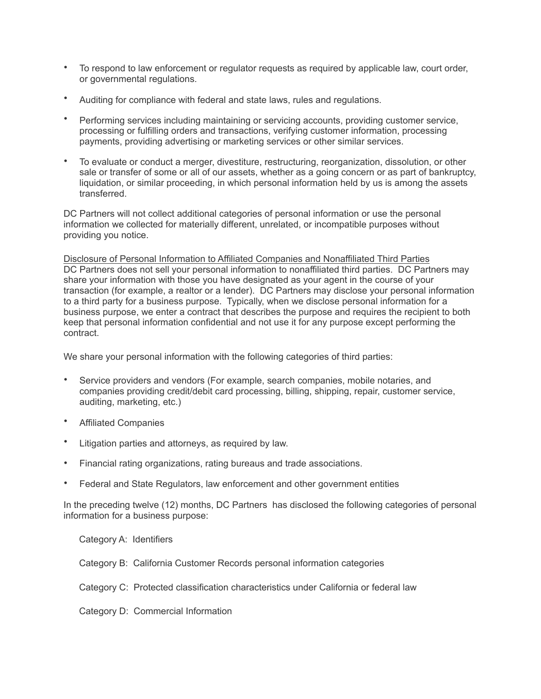- To respond to law enforcement or regulator requests as required by applicable law, court order, or governmental regulations.
- Auditing for compliance with federal and state laws, rules and regulations.
- Performing services including maintaining or servicing accounts, providing customer service, processing or fulfilling orders and transactions, verifying customer information, processing payments, providing advertising or marketing services or other similar services.
- To evaluate or conduct a merger, divestiture, restructuring, reorganization, dissolution, or other sale or transfer of some or all of our assets, whether as a going concern or as part of bankruptcy, liquidation, or similar proceeding, in which personal information held by us is among the assets transferred.

DC Partners will not collect additional categories of personal information or use the personal information we collected for materially different, unrelated, or incompatible purposes without providing you notice.

Disclosure of Personal Information to Affiliated Companies and Nonaffiliated Third Parties DC Partners does not sell your personal information to nonaffiliated third parties. DC Partners may share your information with those you have designated as your agent in the course of your transaction (for example, a realtor or a lender). DC Partners may disclose your personal information to a third party for a business purpose. Typically, when we disclose personal information for a business purpose, we enter a contract that describes the purpose and requires the recipient to both keep that personal information confidential and not use it for any purpose except performing the contract.

We share your personal information with the following categories of third parties:

- Service providers and vendors (For example, search companies, mobile notaries, and companies providing credit/debit card processing, billing, shipping, repair, customer service, auditing, marketing, etc.)
- Affiliated Companies
- Litigation parties and attorneys, as required by law.
- Financial rating organizations, rating bureaus and trade associations.
- Federal and State Regulators, law enforcement and other government entities

In the preceding twelve (12) months, DC Partners has disclosed the following categories of personal information for a business purpose:

Category A: Identifiers

Category B: California Customer Records personal information categories

Category C: Protected classification characteristics under California or federal law

Category D: Commercial Information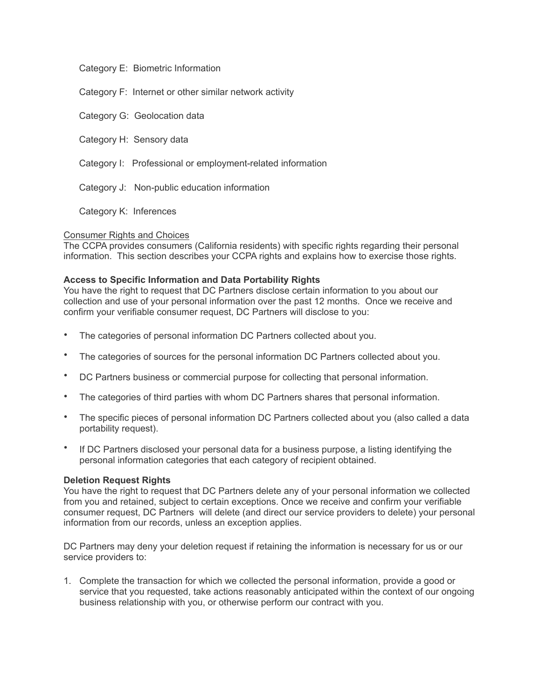#### Category E: Biometric Information

Category F: Internet or other similar network activity

Category G: Geolocation data

Category H: Sensory data

- Category I: Professional or employment-related information
- Category J: Non-public education information

Category K: Inferences

#### Consumer Rights and Choices

The CCPA provides consumers (California residents) with specific rights regarding their personal information. This section describes your CCPA rights and explains how to exercise those rights.

#### **Access to Specific Information and Data Portability Rights**

You have the right to request that DC Partners disclose certain information to you about our collection and use of your personal information over the past 12 months. Once we receive and confirm your verifiable consumer request, DC Partners will disclose to you:

- The categories of personal information DC Partners collected about you.
- The categories of sources for the personal information DC Partners collected about you.
- DC Partners business or commercial purpose for collecting that personal information.
- The categories of third parties with whom DC Partners shares that personal information.
- The specific pieces of personal information DC Partners collected about you (also called a data portability request).
- If DC Partners disclosed your personal data for a business purpose, a listing identifying the personal information categories that each category of recipient obtained.

#### **Deletion Request Rights**

You have the right to request that DC Partners delete any of your personal information we collected from you and retained, subject to certain exceptions. Once we receive and confirm your verifiable consumer request, DC Partners will delete (and direct our service providers to delete) your personal information from our records, unless an exception applies.

DC Partners may deny your deletion request if retaining the information is necessary for us or our service providers to:

1. Complete the transaction for which we collected the personal information, provide a good or service that you requested, take actions reasonably anticipated within the context of our ongoing business relationship with you, or otherwise perform our contract with you.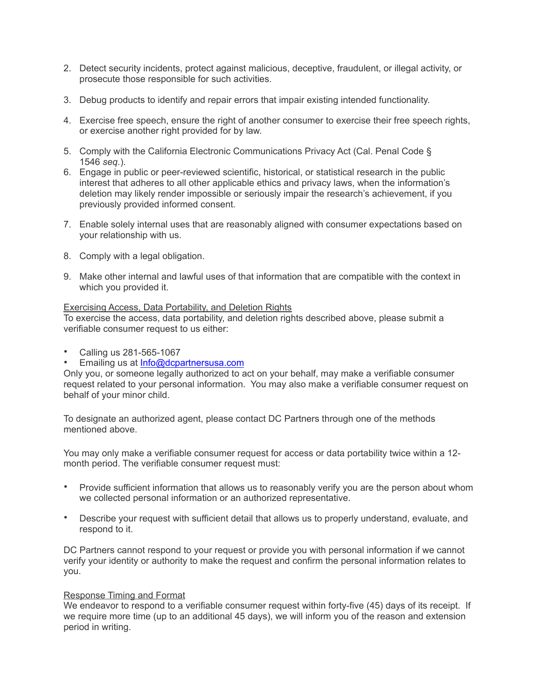- 2. Detect security incidents, protect against malicious, deceptive, fraudulent, or illegal activity, or prosecute those responsible for such activities.
- 3. Debug products to identify and repair errors that impair existing intended functionality.
- 4. Exercise free speech, ensure the right of another consumer to exercise their free speech rights, or exercise another right provided for by law.
- 5. Comply with the California Electronic Communications Privacy Act (Cal. Penal Code § 1546 *seq.*).
- 6. Engage in public or peer-reviewed scientific, historical, or statistical research in the public interest that adheres to all other applicable ethics and privacy laws, when the information's deletion may likely render impossible or seriously impair the research's achievement, if you previously provided informed consent.
- 7. Enable solely internal uses that are reasonably aligned with consumer expectations based on your relationship with us.
- 8. Comply with a legal obligation.
- 9. Make other internal and lawful uses of that information that are compatible with the context in which you provided it.

#### Exercising Access, Data Portability, and Deletion Rights

To exercise the access, data portability, and deletion rights described above, please submit a verifiable consumer request to us either:

- Calling us 281-565-1067
- Emailing us at [Info@dcpartnersusa.com](mailto:Info@dcpartnersusa.com)

Only you, or someone legally authorized to act on your behalf, may make a verifiable consumer request related to your personal information. You may also make a verifiable consumer request on behalf of your minor child.

To designate an authorized agent, please contact DC Partners through one of the methods mentioned above.

You may only make a verifiable consumer request for access or data portability twice within a 12 month period. The verifiable consumer request must:

- Provide sufficient information that allows us to reasonably verify you are the person about whom we collected personal information or an authorized representative.
- Describe your request with sufficient detail that allows us to properly understand, evaluate, and respond to it.

DC Partners cannot respond to your request or provide you with personal information if we cannot verify your identity or authority to make the request and confirm the personal information relates to you.

#### Response Timing and Format

We endeavor to respond to a verifiable consumer request within forty-five (45) days of its receipt. If we require more time (up to an additional 45 days), we will inform you of the reason and extension period in writing.